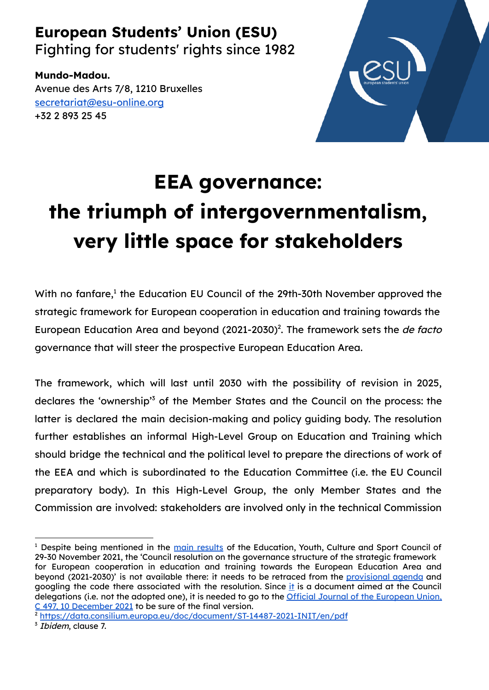## **European Students' Union (ESU)**

Fighting for students' rights since 1982

**Mundo-Madou.** Avenue des Arts 7/8, 1210 Bruxelles [secretariat@esu-online.org](mailto:secretariat@esu-online.org) +32 2 893 25 45



## **EEA governance: the triumph of intergovernmentalism, very little space for stakeholders**

With no fanfare, $^1$  the Education EU Council of the 29th-30th November approved the strategic framework for European cooperation in education and training towards the European Education Area and beyond (2021-2030)<sup>2</sup>. The framework sets the de facto governance that will steer the prospective European Education Area.

The framework, which will last until 2030 with the possibility of revision in 2025, declares the 'ownership'<sup>3</sup> of the Member States and the Council on the process: the latter is declared the main decision-making and policy guiding body. The resolution further establishes an informal High-Level Group on Education and Training which should bridge the technical and the political level to prepare the directions of work of the EEA and which is subordinated to the Education Committee (i.e. the EU Council preparatory body). In this High-Level Group, the only Member States and the Commission are involved: stakeholders are involved only in the technical Commission

<sup>&</sup>lt;sup>1</sup> Despite being mentioned in the main [results](https://www.consilium.europa.eu/en/meetings/eycs/2021/11/29-30/) of the Education, Youth, Culture and Sport Council of 29-30 November 2021, the 'Council resolution on the governance structure of the strategic framework for European cooperation in education and training towards the European Education Area and beyond (2021-2030)' is not available there: it needs to be retraced from the [provisional](https://data.consilium.europa.eu/doc/document/ST-14054-2021-INIT/en/pdf) agenda and googling the code there associated w[it](https://data.consilium.europa.eu/doc/document/ST-14487-2021-INIT/en/pdf)h the resolution. Since it is a document aimed at the Council delegations (i.e. not the adopted one), it is needed to go to the **Official Journal of the [European](https://eur-lex.europa.eu/legal-content/EN/TXT/PDF/?uri=OJ:C:2021:497:FULL&from=EN) Union**, C 497, 10 [December](https://eur-lex.europa.eu/legal-content/EN/TXT/PDF/?uri=OJ:C:2021:497:FULL&from=EN) 2021 to be sure of the final version.

<sup>2</sup> <https://data.consilium.europa.eu/doc/document/ST-14487-2021-INIT/en/pdf>

<sup>&</sup>lt;sup>3</sup> Ibidem, clause 7.